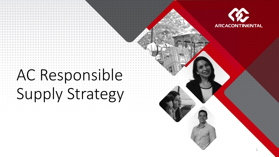

1

# AC Responsible Supply Strategy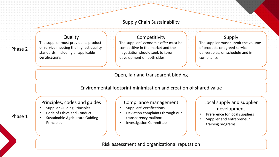# Supply Chain Sustainability

**Quality** The supplier must provide its product or service meeting the highest quality standards, including all applicable certifications

### Competitivity

The suppliers' economic offer must be competitive in the market and the negotiation should seek to favor development on both sides

#### Supply

The supplier must submit the volume of products or agreed service deliverables, on schedule and in compliance

# Open, fair and transparent bidding

Environmental footprint minimization and creation of shared value

### Principles, codes and guides

- Supplier Guiding Principles
- Code of Ethics and Conduct
- Sustainable Agriculture Guiding Principles

#### Compliance management

- Suppliers' certifications
- Deviation complaints through our transparency mailbox
- Investigation Committee

# Local supply and supplier development

- Preference for local suppliers
- Supplier and entrepreneur training programs

### Risk assessment and organizational reputation

Phase 1

Phase 2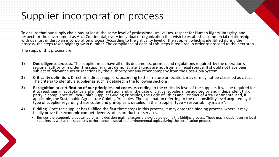# Supplier incorporation process

To ensure that our supply chain has, at least, the same level of professionalism, values, respect for Human Rights, integrity and respect for the environment as Arca Continental, every individual or organization that wish to establish a commercial relationship with us must undergo an incorporation process. According to the criticality level of the supplier, which is identified during the process, the steps taken might grow in number. The compliance of each of this steps is required in order to proceed to the next step.

The steps of this process are:

- **1) Due diligence process**. The supplier must have all of its documents, permits and regulations required by the operation's regional authority in order. The supplier must demonstrate it funds are not from an illegal source. It should not have been subject of relevant sues or sanctions by the authority nor any other company from the Coca-Cola System.
- **2) Criticality definition.** Direct or indirect suppliers, according to their nature or location, may or may not be classified as critical. The criteria to identify a supplier as such is detailed in the following sections.
- **3) Recognition or certification of our principles and codes.** According to the criticality level of the supplier, it will be required for it to read, sign in acceptance and implementation and, in the case of critical suppliers, be audited by and independent third party in compliance of Coca-Cola's Supplier Guiding Principles, the Code of Ethics and Conduct of Arca Continental and, if applicable, the Sustainable Agriculture Guiding Principles. The explanation referring to the responsibility level acquired by the type of supplier regarding these codes and principles is detailed in the "Supplier type – responsibility matrix".
- **4) Bidding**. Once the supplier has fulfilled the first three steps in this process, it may enter the bidding process, where it may finally prove the economic competitiveness of its products or services.
	- Besides the economic proposal, purchasing decision-making factors are evaluated during the bidding process. These may include favoring local suppliers as well as the supplier's performance in social and environmental topics during the certification process.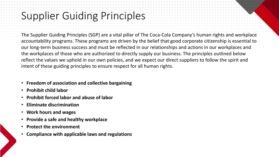# Supplier Guiding Principles

The Supplier Guiding Principles (SGP) are a vital pillar of The Coca-Cola Company's human rights and workplace accountability programs. These programs are driven by the belief that good corporate citizenship is essential to our long-term business success and must be reflected in our relationships and actions in our workplaces and the workplaces of those who are authorized to directly supply our business. The principles outlined below reflect the values we uphold in our own policies, and we expect our direct suppliers to follow the spirit and intent of these guiding principles to ensure respect for all human rights.

- **Freedom of association and collective bargaining**
- **Prohibit child labor**
- **Prohibit forced labor and abuse of labor**
- **Eliminate discrimination**
- **Work hours and wages**
- **Provide a safe and healthy workplace**
- **Protect the environment**
- **Compliance with applicable laws and regulations**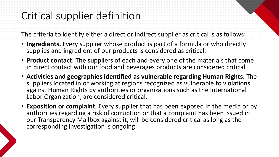# Critical supplier definition

The criteria to identify either a direct or indirect supplier as critical is as follows:

- **Ingredients.** Every supplier whose product is part of a formula or who directly supplies and ingredient of our products is considered as critical.
- **Product contact.** The suppliers of each and every one of the materials that come in direct contact with our food and beverages products are considered critical.
- **Activities and geographies identified as vulnerable regarding Human Rights.** The suppliers located in or working at regions recognized as vulnerable to violations against Human Rights by authorities or organizations such as the International Labor Organization, are considered critical.
- **Exposition or complaint.** Every supplier that has been exposed in the media or by authorities regarding a risk of corruption or that a complaint has been issued in our Transparency Mailbox against it, will be considered critical as long as the corresponding investigation is ongoing.